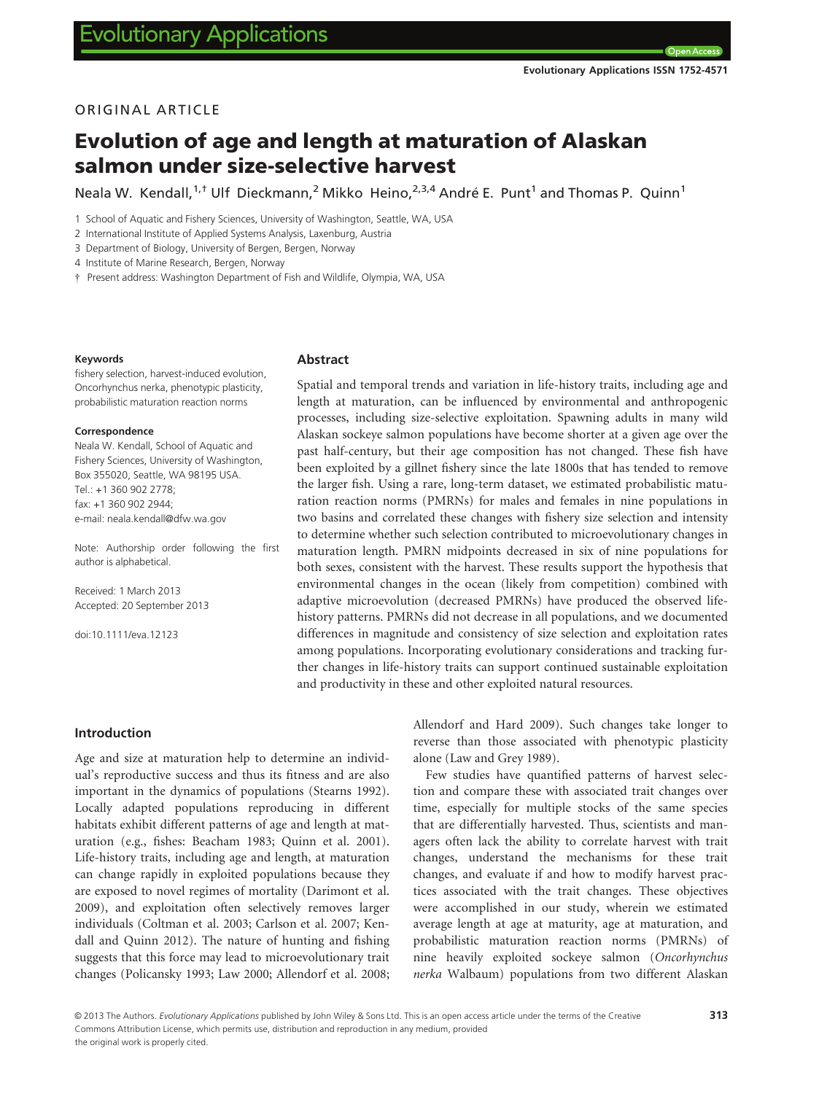## ORIGINAL ARTICLE

# Evolution of age and length at maturation of Alaskan salmon under size-selective harvest

Neala W. Kendall,<sup>1,†</sup> Ulf Dieckmann,<sup>2</sup> Mikko Heino,<sup>2,3,4</sup> André E. Punt<sup>1</sup> and Thomas P. Quinn<sup>1</sup>

1 School of Aquatic and Fishery Sciences, University of Washington, Seattle, WA, USA

2 International Institute of Applied Systems Analysis, Laxenburg, Austria

3 Department of Biology, University of Bergen, Bergen, Norway

4 Institute of Marine Research, Bergen, Norway

† Present address: Washington Department of Fish and Wildlife, Olympia, WA, USA

#### Keywords

fishery selection, harvest-induced evolution, Oncorhynchus nerka, phenotypic plasticity, probabilistic maturation reaction norms

#### Correspondence

Neala W. Kendall, School of Aquatic and Fishery Sciences, University of Washington, Box 355020, Seattle, WA 98195 USA.  $Tel: +1$  360 902 2778; fax: +1 360 902 2944; e-mail: neala.kendall@dfw.wa.gov

Note: Authorship order following the first author is alphabetical.

Received: 1 March 2013 Accepted: 20 September 2013

doi:10.1111/eva.12123

## Abstract

Spatial and temporal trends and variation in life-history traits, including age and length at maturation, can be influenced by environmental and anthropogenic processes, including size-selective exploitation. Spawning adults in many wild Alaskan sockeye salmon populations have become shorter at a given age over the past half-century, but their age composition has not changed. These fish have been exploited by a gillnet fishery since the late 1800s that has tended to remove the larger fish. Using a rare, long-term dataset, we estimated probabilistic maturation reaction norms (PMRNs) for males and females in nine populations in two basins and correlated these changes with fishery size selection and intensity to determine whether such selection contributed to microevolutionary changes in maturation length. PMRN midpoints decreased in six of nine populations for both sexes, consistent with the harvest. These results support the hypothesis that environmental changes in the ocean (likely from competition) combined with adaptive microevolution (decreased PMRNs) have produced the observed lifehistory patterns. PMRNs did not decrease in all populations, and we documented differences in magnitude and consistency of size selection and exploitation rates among populations. Incorporating evolutionary considerations and tracking further changes in life-history traits can support continued sustainable exploitation and productivity in these and other exploited natural resources.

## Introduction

Age and size at maturation help to determine an individual's reproductive success and thus its fitness and are also important in the dynamics of populations (Stearns 1992). Locally adapted populations reproducing in different habitats exhibit different patterns of age and length at maturation (e.g., fishes: Beacham 1983; Quinn et al. 2001). Life-history traits, including age and length, at maturation can change rapidly in exploited populations because they are exposed to novel regimes of mortality (Darimont et al. 2009), and exploitation often selectively removes larger individuals (Coltman et al. 2003; Carlson et al. 2007; Kendall and Quinn 2012). The nature of hunting and fishing suggests that this force may lead to microevolutionary trait changes (Policansky 1993; Law 2000; Allendorf et al. 2008; Allendorf and Hard 2009). Such changes take longer to reverse than those associated with phenotypic plasticity alone (Law and Grey 1989).

Few studies have quantified patterns of harvest selection and compare these with associated trait changes over time, especially for multiple stocks of the same species that are differentially harvested. Thus, scientists and managers often lack the ability to correlate harvest with trait changes, understand the mechanisms for these trait changes, and evaluate if and how to modify harvest practices associated with the trait changes. These objectives were accomplished in our study, wherein we estimated average length at age at maturity, age at maturation, and probabilistic maturation reaction norms (PMRNs) of nine heavily exploited sockeye salmon (Oncorhynchus nerka Walbaum) populations from two different Alaskan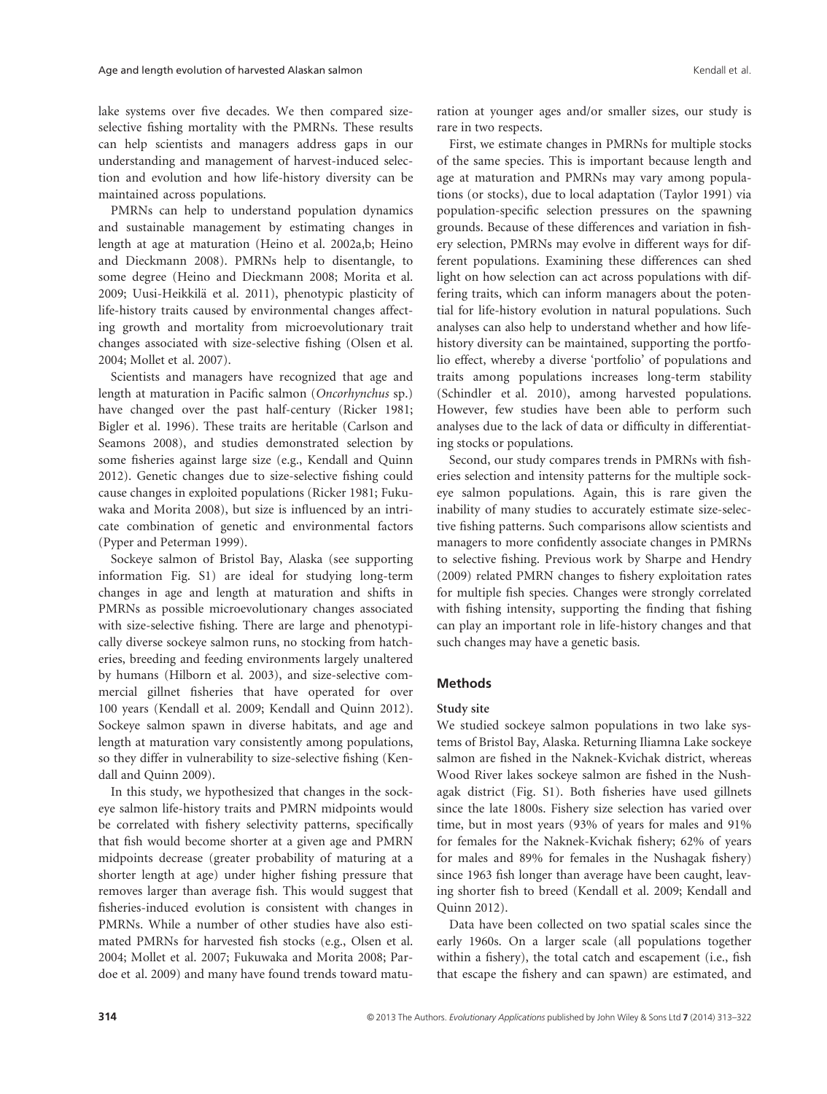lake systems over five decades. We then compared sizeselective fishing mortality with the PMRNs. These results can help scientists and managers address gaps in our understanding and management of harvest-induced selection and evolution and how life-history diversity can be maintained across populations.

PMRNs can help to understand population dynamics and sustainable management by estimating changes in length at age at maturation (Heino et al. 2002a,b; Heino and Dieckmann 2008). PMRNs help to disentangle, to some degree (Heino and Dieckmann 2008; Morita et al. 2009; Uusi-Heikkilä et al. 2011), phenotypic plasticity of life-history traits caused by environmental changes affecting growth and mortality from microevolutionary trait changes associated with size-selective fishing (Olsen et al. 2004; Mollet et al. 2007).

Scientists and managers have recognized that age and length at maturation in Pacific salmon (Oncorhynchus sp.) have changed over the past half-century (Ricker 1981; Bigler et al. 1996). These traits are heritable (Carlson and Seamons 2008), and studies demonstrated selection by some fisheries against large size (e.g., Kendall and Quinn 2012). Genetic changes due to size-selective fishing could cause changes in exploited populations (Ricker 1981; Fukuwaka and Morita 2008), but size is influenced by an intricate combination of genetic and environmental factors (Pyper and Peterman 1999).

Sockeye salmon of Bristol Bay, Alaska (see supporting information Fig. S1) are ideal for studying long-term changes in age and length at maturation and shifts in PMRNs as possible microevolutionary changes associated with size-selective fishing. There are large and phenotypically diverse sockeye salmon runs, no stocking from hatcheries, breeding and feeding environments largely unaltered by humans (Hilborn et al. 2003), and size-selective commercial gillnet fisheries that have operated for over 100 years (Kendall et al. 2009; Kendall and Quinn 2012). Sockeye salmon spawn in diverse habitats, and age and length at maturation vary consistently among populations, so they differ in vulnerability to size-selective fishing (Kendall and Quinn 2009).

In this study, we hypothesized that changes in the sockeye salmon life-history traits and PMRN midpoints would be correlated with fishery selectivity patterns, specifically that fish would become shorter at a given age and PMRN midpoints decrease (greater probability of maturing at a shorter length at age) under higher fishing pressure that removes larger than average fish. This would suggest that fisheries-induced evolution is consistent with changes in PMRNs. While a number of other studies have also estimated PMRNs for harvested fish stocks (e.g., Olsen et al. 2004; Mollet et al. 2007; Fukuwaka and Morita 2008; Pardoe et al. 2009) and many have found trends toward maturation at younger ages and/or smaller sizes, our study is rare in two respects.

First, we estimate changes in PMRNs for multiple stocks of the same species. This is important because length and age at maturation and PMRNs may vary among populations (or stocks), due to local adaptation (Taylor 1991) via population-specific selection pressures on the spawning grounds. Because of these differences and variation in fishery selection, PMRNs may evolve in different ways for different populations. Examining these differences can shed light on how selection can act across populations with differing traits, which can inform managers about the potential for life-history evolution in natural populations. Such analyses can also help to understand whether and how lifehistory diversity can be maintained, supporting the portfolio effect, whereby a diverse 'portfolio' of populations and traits among populations increases long-term stability (Schindler et al. 2010), among harvested populations. However, few studies have been able to perform such analyses due to the lack of data or difficulty in differentiating stocks or populations.

Second, our study compares trends in PMRNs with fisheries selection and intensity patterns for the multiple sockeye salmon populations. Again, this is rare given the inability of many studies to accurately estimate size-selective fishing patterns. Such comparisons allow scientists and managers to more confidently associate changes in PMRNs to selective fishing. Previous work by Sharpe and Hendry (2009) related PMRN changes to fishery exploitation rates for multiple fish species. Changes were strongly correlated with fishing intensity, supporting the finding that fishing can play an important role in life-history changes and that such changes may have a genetic basis.

## Methods

### Study site

We studied sockeye salmon populations in two lake systems of Bristol Bay, Alaska. Returning Iliamna Lake sockeye salmon are fished in the Naknek-Kvichak district, whereas Wood River lakes sockeye salmon are fished in the Nushagak district (Fig. S1). Both fisheries have used gillnets since the late 1800s. Fishery size selection has varied over time, but in most years (93% of years for males and 91% for females for the Naknek-Kvichak fishery; 62% of years for males and 89% for females in the Nushagak fishery) since 1963 fish longer than average have been caught, leaving shorter fish to breed (Kendall et al. 2009; Kendall and Quinn 2012).

Data have been collected on two spatial scales since the early 1960s. On a larger scale (all populations together within a fishery), the total catch and escapement (i.e., fish that escape the fishery and can spawn) are estimated, and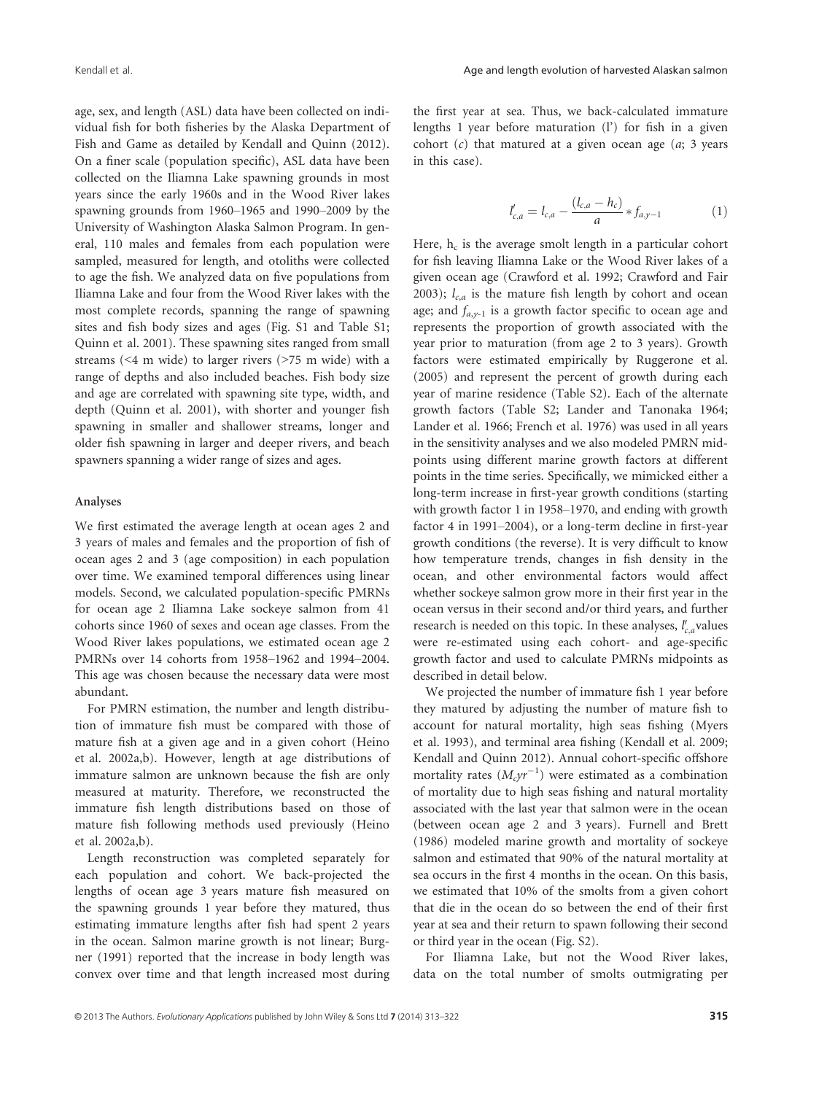age, sex, and length (ASL) data have been collected on individual fish for both fisheries by the Alaska Department of Fish and Game as detailed by Kendall and Quinn (2012). On a finer scale (population specific), ASL data have been collected on the Iliamna Lake spawning grounds in most years since the early 1960s and in the Wood River lakes spawning grounds from 1960–1965 and 1990–2009 by the University of Washington Alaska Salmon Program. In general, 110 males and females from each population were sampled, measured for length, and otoliths were collected to age the fish. We analyzed data on five populations from Iliamna Lake and four from the Wood River lakes with the most complete records, spanning the range of spawning sites and fish body sizes and ages (Fig. S1 and Table S1; Quinn et al. 2001). These spawning sites ranged from small streams ( $\leq 4$  m wide) to larger rivers ( $\geq 75$  m wide) with a range of depths and also included beaches. Fish body size and age are correlated with spawning site type, width, and depth (Quinn et al. 2001), with shorter and younger fish spawning in smaller and shallower streams, longer and older fish spawning in larger and deeper rivers, and beach spawners spanning a wider range of sizes and ages.

#### Analyses

We first estimated the average length at ocean ages 2 and 3 years of males and females and the proportion of fish of ocean ages 2 and 3 (age composition) in each population over time. We examined temporal differences using linear models. Second, we calculated population-specific PMRNs for ocean age 2 Iliamna Lake sockeye salmon from 41 cohorts since 1960 of sexes and ocean age classes. From the Wood River lakes populations, we estimated ocean age 2 PMRNs over 14 cohorts from 1958–1962 and 1994–2004. This age was chosen because the necessary data were most abundant.

For PMRN estimation, the number and length distribution of immature fish must be compared with those of mature fish at a given age and in a given cohort (Heino et al. 2002a,b). However, length at age distributions of immature salmon are unknown because the fish are only measured at maturity. Therefore, we reconstructed the immature fish length distributions based on those of mature fish following methods used previously (Heino et al. 2002a,b).

Length reconstruction was completed separately for each population and cohort. We back-projected the lengths of ocean age 3 years mature fish measured on the spawning grounds 1 year before they matured, thus estimating immature lengths after fish had spent 2 years in the ocean. Salmon marine growth is not linear; Burgner (1991) reported that the increase in body length was convex over time and that length increased most during the first year at sea. Thus, we back-calculated immature lengths 1 year before maturation (l') for fish in a given cohort  $(c)$  that matured at a given ocean age  $(a; 3$  years in this case).

$$
l'_{c,a} = l_{c,a} - \frac{(l_{c,a} - h_c)}{a} * f_{a,y-1}
$$
 (1)

Here,  $h_c$  is the average smolt length in a particular cohort for fish leaving Iliamna Lake or the Wood River lakes of a given ocean age (Crawford et al. 1992; Crawford and Fair 2003);  $l_{c,a}$  is the mature fish length by cohort and ocean age; and  $f_{a,y-1}$  is a growth factor specific to ocean age and represents the proportion of growth associated with the year prior to maturation (from age 2 to 3 years). Growth factors were estimated empirically by Ruggerone et al. (2005) and represent the percent of growth during each year of marine residence (Table S2). Each of the alternate growth factors (Table S2; Lander and Tanonaka 1964; Lander et al. 1966; French et al. 1976) was used in all years in the sensitivity analyses and we also modeled PMRN midpoints using different marine growth factors at different points in the time series. Specifically, we mimicked either a long-term increase in first-year growth conditions (starting with growth factor 1 in 1958–1970, and ending with growth factor 4 in 1991–2004), or a long-term decline in first-year growth conditions (the reverse). It is very difficult to know how temperature trends, changes in fish density in the ocean, and other environmental factors would affect whether sockeye salmon grow more in their first year in the ocean versus in their second and/or third years, and further research is needed on this topic. In these analyses,  $l_{c,a}'$ values were re-estimated using each cohort- and age-specific growth factor and used to calculate PMRNs midpoints as described in detail below.

We projected the number of immature fish 1 year before they matured by adjusting the number of mature fish to account for natural mortality, high seas fishing (Myers et al. 1993), and terminal area fishing (Kendall et al. 2009; Kendall and Quinn 2012). Annual cohort-specific offshore mortality rates  $(M_c yr^{-1})$  were estimated as a combination of mortality due to high seas fishing and natural mortality associated with the last year that salmon were in the ocean (between ocean age 2 and 3 years). Furnell and Brett (1986) modeled marine growth and mortality of sockeye salmon and estimated that 90% of the natural mortality at sea occurs in the first 4 months in the ocean. On this basis, we estimated that 10% of the smolts from a given cohort that die in the ocean do so between the end of their first year at sea and their return to spawn following their second or third year in the ocean (Fig. S2).

For Iliamna Lake, but not the Wood River lakes, data on the total number of smolts outmigrating per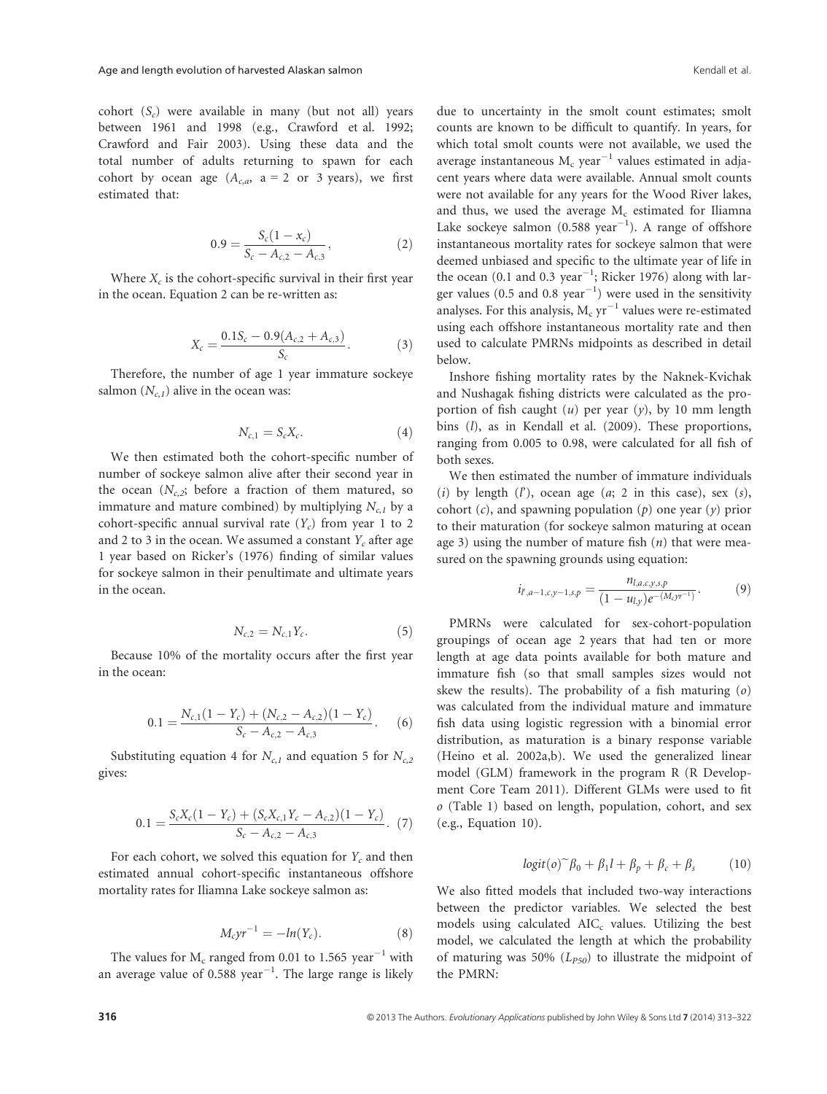cohort  $(S<sub>c</sub>)$  were available in many (but not all) years between 1961 and 1998 (e.g., Crawford et al. 1992; Crawford and Fair 2003). Using these data and the total number of adults returning to spawn for each cohort by ocean age  $(A_{c,a}$ ,  $a = 2$  or 3 years), we first estimated that:

$$
0.9 = \frac{S_c(1 - x_c)}{S_c - A_{c,2} - A_{c,3}},\tag{2}
$$

Where  $X_c$  is the cohort-specific survival in their first year in the ocean. Equation 2 can be re-written as:

$$
X_c = \frac{0.1S_c - 0.9(A_{c,2} + A_{c,3})}{S_c}.
$$
 (3)

Therefore, the number of age 1 year immature sockeye salmon  $(N_{c,1})$  alive in the ocean was:

$$
N_{c,1} = S_c X_c. \tag{4}
$$

We then estimated both the cohort-specific number of number of sockeye salmon alive after their second year in the ocean  $(N_{c,2})$ ; before a fraction of them matured, so immature and mature combined) by multiplying  $N_{c,1}$  by a cohort-specific annual survival rate  $(Y_c)$  from year 1 to 2 and 2 to 3 in the ocean. We assumed a constant  $Y_c$  after age 1 year based on Ricker's (1976) finding of similar values for sockeye salmon in their penultimate and ultimate years in the ocean.

$$
N_{c,2} = N_{c,1} Y_c.
$$
 (5)

Because 10% of the mortality occurs after the first year in the ocean:

$$
0.1 = \frac{N_{c,1}(1 - Y_c) + (N_{c,2} - A_{c,2})(1 - Y_c)}{S_c - A_{c,2} - A_{c,3}}.
$$
 (6)

Substituting equation 4 for  $N_{c,1}$  and equation 5 for  $N_{c,2}$ gives:

$$
0.1 = \frac{S_c X_c (1 - Y_c) + (S_c X_{c,1} Y_c - A_{c,2}) (1 - Y_c)}{S_c - A_{c,2} - A_{c,3}}.
$$
 (7)

For each cohort, we solved this equation for  $Y_c$  and then estimated annual cohort-specific instantaneous offshore mortality rates for Iliamna Lake sockeye salmon as:

$$
M_c \gamma r^{-1} = -\ln(Y_c). \tag{8}
$$

The values for  $M_c$  ranged from 0.01 to 1.565  $year^{-1}$  with an average value of 0.588 year $^{-1}$ . The large range is likely due to uncertainty in the smolt count estimates; smolt counts are known to be difficult to quantify. In years, for which total smolt counts were not available, we used the average instantaneous  $M_c$  year<sup>-1</sup> values estimated in adjacent years where data were available. Annual smolt counts were not available for any years for the Wood River lakes, and thus, we used the average  $M_c$  estimated for Iliamna Lake sockeye salmon  $(0.588 \text{ year}^{-1})$ . A range of offshore instantaneous mortality rates for sockeye salmon that were deemed unbiased and specific to the ultimate year of life in the ocean (0.1 and 0.3  $year^{-1}$ ; Ricker 1976) along with larger values (0.5 and 0.8 year<sup>-1</sup>) were used in the sensitivity analyses. For this analysis,  $M_c yr^{-1}$  values were re-estimated using each offshore instantaneous mortality rate and then used to calculate PMRNs midpoints as described in detail below.

Inshore fishing mortality rates by the Naknek-Kvichak and Nushagak fishing districts were calculated as the proportion of fish caught  $(u)$  per year  $(y)$ , by 10 mm length bins (l), as in Kendall et al. (2009). These proportions, ranging from 0.005 to 0.98, were calculated for all fish of both sexes.

We then estimated the number of immature individuals (i) by length  $(l')$ , ocean age  $(a; 2$  in this case), sex  $(s)$ , cohort  $(c)$ , and spawning population  $(p)$  one year  $(y)$  prior to their maturation (for sockeye salmon maturing at ocean age 3) using the number of mature fish  $(n)$  that were measured on the spawning grounds using equation:

$$
i_{l',a-1,c,y-1,s,p} = \frac{n_{l,a,c,y,s,p}}{(1-u_{l,y})e^{-(M_cyr^{-1})}}.
$$
 (9)

PMRNs were calculated for sex-cohort-population groupings of ocean age 2 years that had ten or more length at age data points available for both mature and immature fish (so that small samples sizes would not skew the results). The probability of a fish maturing  $(o)$ was calculated from the individual mature and immature fish data using logistic regression with a binomial error distribution, as maturation is a binary response variable (Heino et al. 2002a,b). We used the generalized linear model (GLM) framework in the program R (R Development Core Team 2011). Different GLMs were used to fit  $o$  (Table 1) based on length, population, cohort, and sex (e.g., Equation 10). m 2011). Different GLMs were used to ht<br>ed on length, population, cohort, and sex<br>10).<br> $logit(o)^{\sim}\beta_0 + \beta_1 l + \beta_p + \beta_c + \beta_s$  (10)

$$
logit(o)\tilde{\beta}_0 + \beta_1 l + \beta_p + \beta_c + \beta_s \tag{10}
$$

We also fitted models that included two-way interactions between the predictor variables. We selected the best models using calculated  $AIC_c$  values. Utilizing the best model, we calculated the length at which the probability of maturing was 50% ( $L_{P50}$ ) to illustrate the midpoint of the PMRN: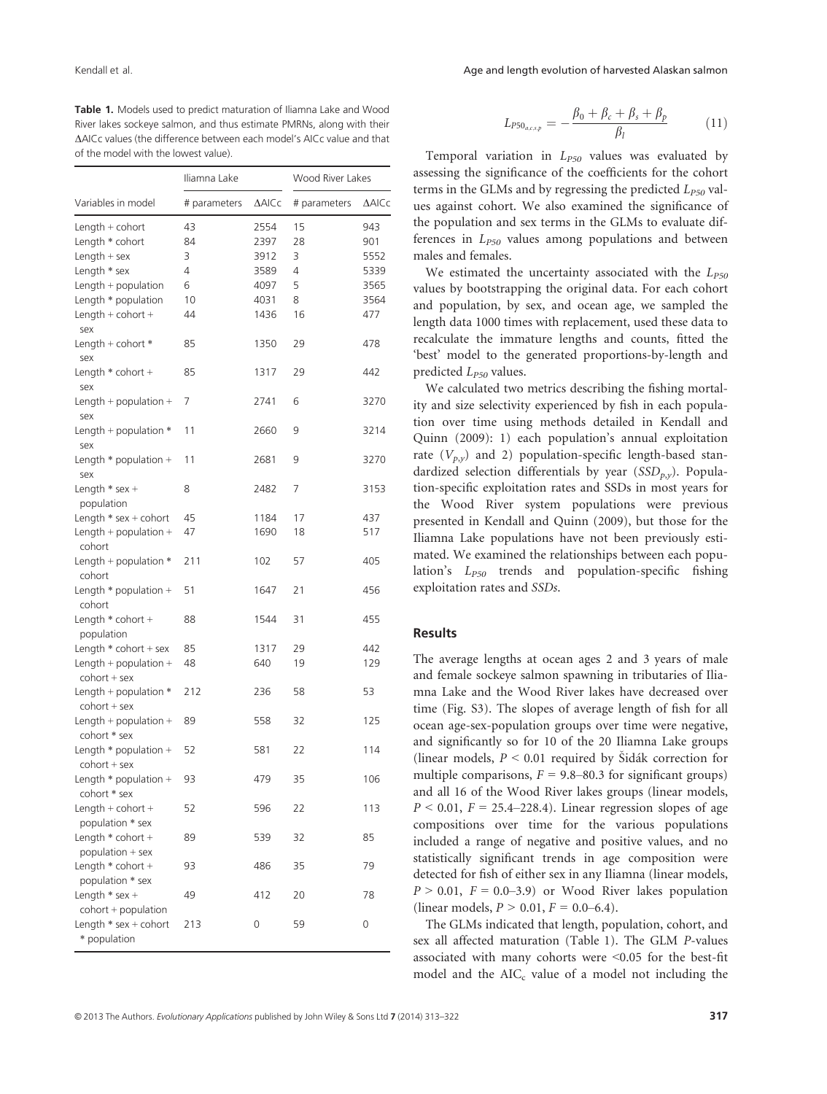Kendall et al. Age and length evolution of harvested Alaskan salmon

Table 1. Models used to predict maturation of Iliamna Lake and Wood River lakes sockeye salmon, and thus estimate PMRNs, along with their AAICc values (the difference between each model's AICc value and that of the model with the lowest value).

|                                                         | Iliamna Lake |              | <b>Wood River Lakes</b> |               |
|---------------------------------------------------------|--------------|--------------|-------------------------|---------------|
| Variables in model                                      | # parameters | <b>AAICc</b> | # parameters            | $\Delta$ AICc |
| Length $+$ cohort                                       | 43           | 2554         | 15                      | 943           |
| Length * cohort                                         | 84           | 2397         | 28                      | 901           |
| Length $+$ sex                                          | 3            | 3912         | 3                       | 5552          |
| Length * sex                                            | 4            | 3589         | 4                       | 5339          |
| Length $+$ population                                   | 6            | 4097         | 5                       | 3565          |
| Length * population                                     | 10           | 4031         | 8                       | 3564          |
| Length $+$ cohort $+$<br>sex                            | 44           | 1436         | 16                      | 477           |
| Length $+$ cohort $*$<br>sex                            | 85           | 1350         | 29                      | 478           |
| Length * cohort +<br>sex                                | 85           | 1317         | 29                      | 442           |
| Length + population +<br>sex                            | 7            | 2741         | 6                       | 3270          |
| Length + population $*$<br>sex                          | 11           | 2660         | 9                       | 3214          |
| Length $*$ population $+$<br>sex                        | 11           | 2681         | 9                       | 3270          |
| Length $*$ sex +<br>population                          | 8            | 2482         | 7                       | 3153          |
| Length $*$ sex + cohort                                 | 45           | 1184         | 17                      | 437           |
| Length $+$ population $+$<br>cohort                     | 47           | 1690         | 18                      | 517           |
| Length + population *<br>cohort                         | 211          | 102          | 57                      | 405           |
| Length $*$ population $+$<br>cohort                     | 51           | 1647         | 21                      | 456           |
| Length * cohort +<br>population                         | 88           | 1544         | 31                      | 455           |
| Length $*$ cohort + sex                                 | 85           | 1317         | 29                      | 442           |
| Length + population +<br>$cohort + sex$                 | 48           | 640          | 19                      | 129           |
| Length + population $*$<br>$\text{cohort} + \text{sex}$ | 212          | 236          | 58                      | 53            |
| Length + population +<br>cohort * sex                   | 89           | 558          | 32                      | 125           |
| Length $*$ population $+$<br>$cohort + sex$             | 52           | 581          | 22                      | 114           |
| Length $*$ population $+$<br>cohort * sex               | 93           | 479          | 35                      | 106           |
| Length + cohort +<br>population * sex                   | 52           | 596          | 22                      | 113           |
| Length * cohort +<br>population + sex                   | 89           | 539          | 32                      | 85            |
| Length * cohort +<br>population * sex                   | 93           | 486          | 35                      | 79            |
| Length $*$ sex +<br>cohort + population                 | 49           | 412          | 20                      | 78            |
| Length $*$ sex + cohort<br>* population                 | 213          | 0            | 59                      | 0             |

$$
L_{PS0_{a,c,s,p}} = -\frac{\beta_0 + \beta_c + \beta_s + \beta_p}{\beta_l} \tag{11}
$$

Temporal variation in  $L_{P50}$  values was evaluated by assessing the significance of the coefficients for the cohort terms in the GLMs and by regressing the predicted  $L_{P50}$  values against cohort. We also examined the significance of the population and sex terms in the GLMs to evaluate differences in  $L_{PSO}$  values among populations and between males and females.

We estimated the uncertainty associated with the  $L_{P50}$ values by bootstrapping the original data. For each cohort and population, by sex, and ocean age, we sampled the length data 1000 times with replacement, used these data to recalculate the immature lengths and counts, fitted the 'best' model to the generated proportions-by-length and predicted  $L_{P50}$  values.

We calculated two metrics describing the fishing mortality and size selectivity experienced by fish in each population over time using methods detailed in Kendall and Quinn (2009): 1) each population's annual exploitation rate  $(V_{p,\nu})$  and 2) population-specific length-based standardized selection differentials by year ( $SSD_{p,y}$ ). Population-specific exploitation rates and SSDs in most years for the Wood River system populations were previous presented in Kendall and Quinn (2009), but those for the Iliamna Lake populations have not been previously estimated. We examined the relationships between each population's  $L_{P50}$  trends and population-specific fishing exploitation rates and SSDs.

### Results

The average lengths at ocean ages 2 and 3 years of male and female sockeye salmon spawning in tributaries of Iliamna Lake and the Wood River lakes have decreased over time (Fig. S3). The slopes of average length of fish for all ocean age-sex-population groups over time were negative, and significantly so for 10 of the 20 Iliamna Lake groups (linear models,  $P \leq 0.01$  required by Sidák correction for multiple comparisons,  $F = 9.8 - 80.3$  for significant groups) and all 16 of the Wood River lakes groups (linear models,  $P < 0.01$ ,  $F = 25.4 - 228.4$ ). Linear regression slopes of age compositions over time for the various populations included a range of negative and positive values, and no statistically significant trends in age composition were detected for fish of either sex in any Iliamna (linear models,  $P > 0.01$ ,  $F = 0.0-3.9$  or Wood River lakes population (linear models,  $P > 0.01$ ,  $F = 0.0-6.4$ ).

The GLMs indicated that length, population, cohort, and sex all affected maturation (Table 1). The GLM P-values associated with many cohorts were <0.05 for the best-fit model and the  $AIC_c$  value of a model not including the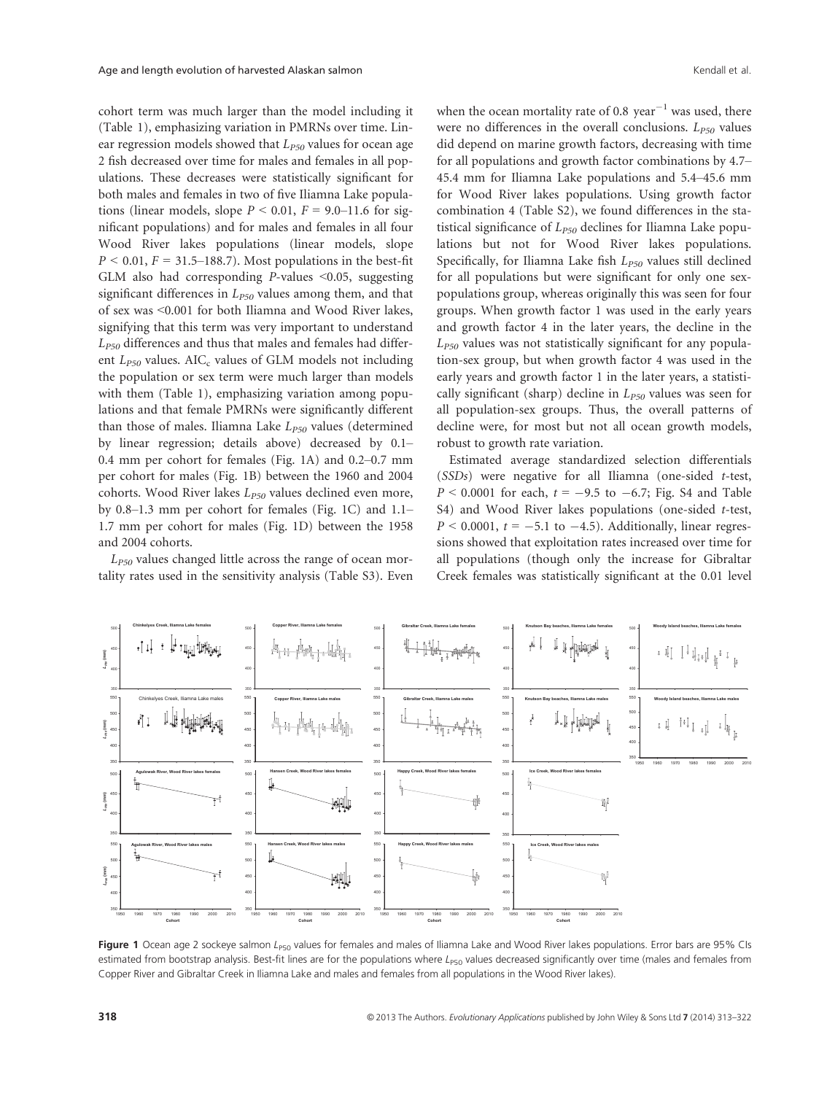cohort term was much larger than the model including it (Table 1), emphasizing variation in PMRNs over time. Linear regression models showed that  $L_{P50}$  values for ocean age 2 fish decreased over time for males and females in all populations. These decreases were statistically significant for both males and females in two of five Iliamna Lake populations (linear models, slope  $P < 0.01$ ,  $F = 9.0$ –11.6 for significant populations) and for males and females in all four Wood River lakes populations (linear models, slope  $P < 0.01$ ,  $F = 31.5 - 188.7$ ). Most populations in the best-fit GLM also had corresponding  $P$ -values <0.05, suggesting significant differences in  $L_{P50}$  values among them, and that of sex was <0.001 for both Iliamna and Wood River lakes, signifying that this term was very important to understand  $L_{P50}$  differences and thus that males and females had different  $L_{P50}$  values. AIC<sub>c</sub> values of GLM models not including the population or sex term were much larger than models with them (Table 1), emphasizing variation among populations and that female PMRNs were significantly different than those of males. Iliamna Lake  $L_{P50}$  values (determined by linear regression; details above) decreased by 0.1– 0.4 mm per cohort for females (Fig. 1A) and 0.2–0.7 mm per cohort for males (Fig. 1B) between the 1960 and 2004 cohorts. Wood River lakes  $L_{P50}$  values declined even more, by 0.8–1.3 mm per cohort for females (Fig. 1C) and 1.1– 1.7 mm per cohort for males (Fig. 1D) between the 1958 and 2004 cohorts.

 $L_{P50}$  values changed little across the range of ocean mortality rates used in the sensitivity analysis (Table S3). Even

when the ocean mortality rate of 0.8  $year^{-1}$  was used, there were no differences in the overall conclusions.  $L_{P50}$  values did depend on marine growth factors, decreasing with time for all populations and growth factor combinations by 4.7– 45.4 mm for Iliamna Lake populations and 5.4–45.6 mm for Wood River lakes populations. Using growth factor combination 4 (Table S2), we found differences in the statistical significance of  $L_{P50}$  declines for Iliamna Lake populations but not for Wood River lakes populations. Specifically, for Iliamna Lake fish  $L_{P50}$  values still declined for all populations but were significant for only one sexpopulations group, whereas originally this was seen for four groups. When growth factor 1 was used in the early years and growth factor 4 in the later years, the decline in the  $L_{P50}$  values was not statistically significant for any population-sex group, but when growth factor 4 was used in the early years and growth factor 1 in the later years, a statistically significant (sharp) decline in  $L_{P50}$  values was seen for all population-sex groups. Thus, the overall patterns of decline were, for most but not all ocean growth models, robust to growth rate variation.

Estimated average standardized selection differentials (SSDs) were negative for all Iliamna (one-sided t-test,  $P < 0.0001$  for each,  $t = -9.5$  to  $-6.7$ ; Fig. S4 and Table S4) and Wood River lakes populations (one-sided t-test,  $P < 0.0001$ ,  $t = -5.1$  to  $-4.5$ ). Additionally, linear regressions showed that exploitation rates increased over time for all populations (though only the increase for Gibraltar Creek females was statistically significant at the 0.01 level



Figure 1 Ocean age 2 sockeye salmon  $L_{PS0}$  values for females and males of Iliamna Lake and Wood River lakes populations. Error bars are 95% CIs estimated from bootstrap analysis. Best-fit lines are for the populations where  $L_{P50}$  values decreased significantly over time (males and females from Copper River and Gibraltar Creek in Iliamna Lake and males and females from all populations in the Wood River lakes).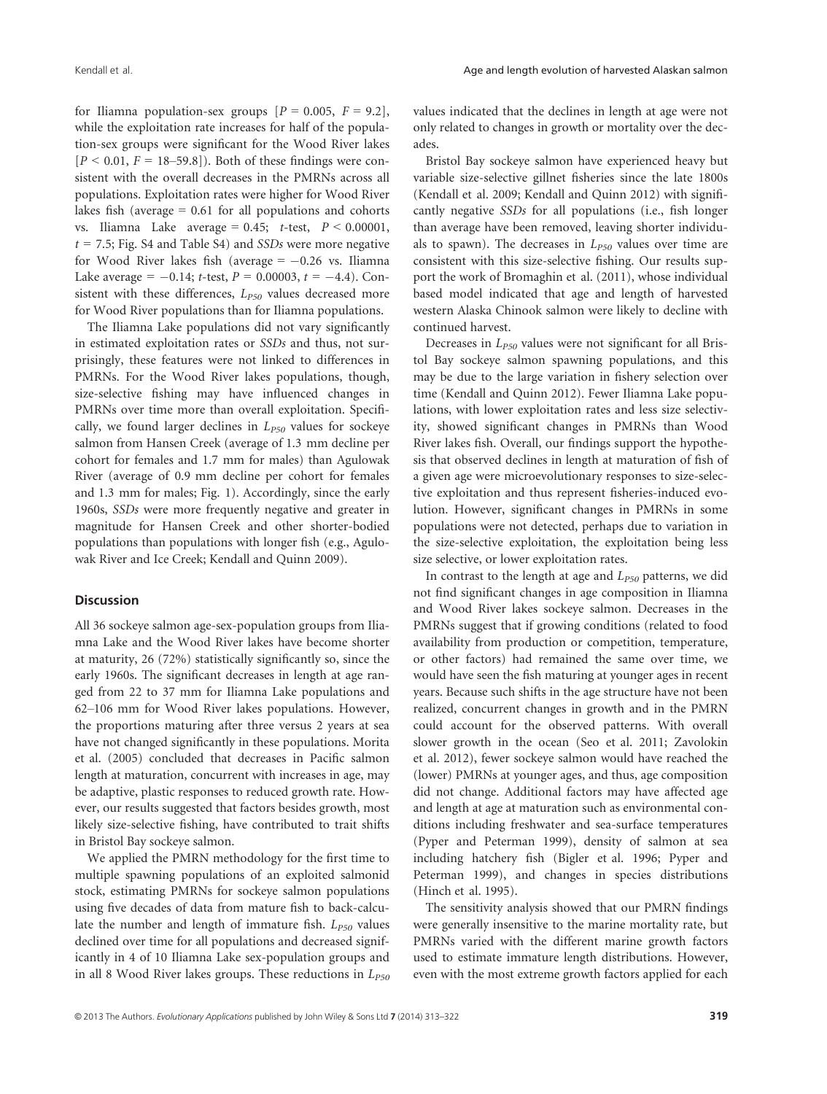for Iliamna population-sex groups  $[P = 0.005, F = 9.2]$ , while the exploitation rate increases for half of the population-sex groups were significant for the Wood River lakes  $[P < 0.01, F = 18–59.8]$ . Both of these findings were consistent with the overall decreases in the PMRNs across all populations. Exploitation rates were higher for Wood River lakes fish (average = 0.61 for all populations and cohorts vs. Iliamna Lake average =  $0.45$ ; t-test,  $P < 0.00001$ ,  $t = 7.5$ ; Fig. S4 and Table S4) and SSDs were more negative for Wood River lakes fish (average  $= -0.26$  vs. Iliamna Lake average =  $-0.14$ ; t-test,  $P = 0.00003$ ,  $t = -4.4$ ). Consistent with these differences,  $L_{P50}$  values decreased more for Wood River populations than for Iliamna populations.

The Iliamna Lake populations did not vary significantly in estimated exploitation rates or SSDs and thus, not surprisingly, these features were not linked to differences in PMRNs. For the Wood River lakes populations, though, size-selective fishing may have influenced changes in PMRNs over time more than overall exploitation. Specifically, we found larger declines in  $L_{P50}$  values for sockeye salmon from Hansen Creek (average of 1.3 mm decline per cohort for females and 1.7 mm for males) than Agulowak River (average of 0.9 mm decline per cohort for females and 1.3 mm for males; Fig. 1). Accordingly, since the early 1960s, SSDs were more frequently negative and greater in magnitude for Hansen Creek and other shorter-bodied populations than populations with longer fish (e.g., Agulowak River and Ice Creek; Kendall and Quinn 2009).

## **Discussion**

All 36 sockeye salmon age-sex-population groups from Iliamna Lake and the Wood River lakes have become shorter at maturity, 26 (72%) statistically significantly so, since the early 1960s. The significant decreases in length at age ranged from 22 to 37 mm for Iliamna Lake populations and 62–106 mm for Wood River lakes populations. However, the proportions maturing after three versus 2 years at sea have not changed significantly in these populations. Morita et al. (2005) concluded that decreases in Pacific salmon length at maturation, concurrent with increases in age, may be adaptive, plastic responses to reduced growth rate. However, our results suggested that factors besides growth, most likely size-selective fishing, have contributed to trait shifts in Bristol Bay sockeye salmon.

We applied the PMRN methodology for the first time to multiple spawning populations of an exploited salmonid stock, estimating PMRNs for sockeye salmon populations using five decades of data from mature fish to back-calculate the number and length of immature fish.  $L_{P50}$  values declined over time for all populations and decreased significantly in 4 of 10 Iliamna Lake sex-population groups and in all 8 Wood River lakes groups. These reductions in  $L_{P50}$  values indicated that the declines in length at age were not only related to changes in growth or mortality over the decades.

Bristol Bay sockeye salmon have experienced heavy but variable size-selective gillnet fisheries since the late 1800s (Kendall et al. 2009; Kendall and Quinn 2012) with significantly negative SSDs for all populations (i.e., fish longer than average have been removed, leaving shorter individuals to spawn). The decreases in  $L_{P50}$  values over time are consistent with this size-selective fishing. Our results support the work of Bromaghin et al. (2011), whose individual based model indicated that age and length of harvested western Alaska Chinook salmon were likely to decline with continued harvest.

Decreases in  $L_{P50}$  values were not significant for all Bristol Bay sockeye salmon spawning populations, and this may be due to the large variation in fishery selection over time (Kendall and Quinn 2012). Fewer Iliamna Lake populations, with lower exploitation rates and less size selectivity, showed significant changes in PMRNs than Wood River lakes fish. Overall, our findings support the hypothesis that observed declines in length at maturation of fish of a given age were microevolutionary responses to size-selective exploitation and thus represent fisheries-induced evolution. However, significant changes in PMRNs in some populations were not detected, perhaps due to variation in the size-selective exploitation, the exploitation being less size selective, or lower exploitation rates.

In contrast to the length at age and  $L_{P50}$  patterns, we did not find significant changes in age composition in Iliamna and Wood River lakes sockeye salmon. Decreases in the PMRNs suggest that if growing conditions (related to food availability from production or competition, temperature, or other factors) had remained the same over time, we would have seen the fish maturing at younger ages in recent years. Because such shifts in the age structure have not been realized, concurrent changes in growth and in the PMRN could account for the observed patterns. With overall slower growth in the ocean (Seo et al. 2011; Zavolokin et al. 2012), fewer sockeye salmon would have reached the (lower) PMRNs at younger ages, and thus, age composition did not change. Additional factors may have affected age and length at age at maturation such as environmental conditions including freshwater and sea-surface temperatures (Pyper and Peterman 1999), density of salmon at sea including hatchery fish (Bigler et al. 1996; Pyper and Peterman 1999), and changes in species distributions (Hinch et al. 1995).

The sensitivity analysis showed that our PMRN findings were generally insensitive to the marine mortality rate, but PMRNs varied with the different marine growth factors used to estimate immature length distributions. However, even with the most extreme growth factors applied for each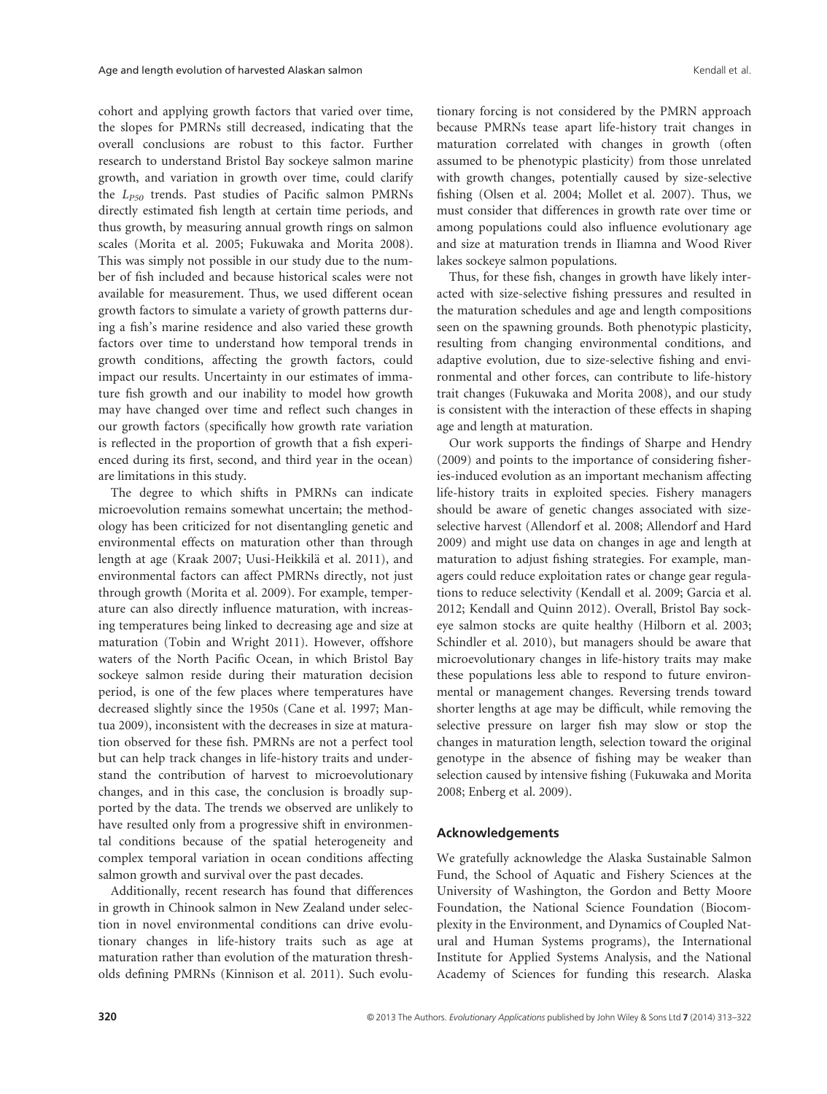cohort and applying growth factors that varied over time, the slopes for PMRNs still decreased, indicating that the overall conclusions are robust to this factor. Further research to understand Bristol Bay sockeye salmon marine growth, and variation in growth over time, could clarify the  $L_{P50}$  trends. Past studies of Pacific salmon PMRNs directly estimated fish length at certain time periods, and thus growth, by measuring annual growth rings on salmon scales (Morita et al. 2005; Fukuwaka and Morita 2008). This was simply not possible in our study due to the number of fish included and because historical scales were not available for measurement. Thus, we used different ocean growth factors to simulate a variety of growth patterns during a fish's marine residence and also varied these growth factors over time to understand how temporal trends in growth conditions, affecting the growth factors, could impact our results. Uncertainty in our estimates of immature fish growth and our inability to model how growth may have changed over time and reflect such changes in our growth factors (specifically how growth rate variation is reflected in the proportion of growth that a fish experienced during its first, second, and third year in the ocean) are limitations in this study.

The degree to which shifts in PMRNs can indicate microevolution remains somewhat uncertain; the methodology has been criticized for not disentangling genetic and environmental effects on maturation other than through length at age (Kraak 2007; Uusi-Heikkilä et al. 2011), and environmental factors can affect PMRNs directly, not just through growth (Morita et al. 2009). For example, temperature can also directly influence maturation, with increasing temperatures being linked to decreasing age and size at maturation (Tobin and Wright 2011). However, offshore waters of the North Pacific Ocean, in which Bristol Bay sockeye salmon reside during their maturation decision period, is one of the few places where temperatures have decreased slightly since the 1950s (Cane et al. 1997; Mantua 2009), inconsistent with the decreases in size at maturation observed for these fish. PMRNs are not a perfect tool but can help track changes in life-history traits and understand the contribution of harvest to microevolutionary changes, and in this case, the conclusion is broadly supported by the data. The trends we observed are unlikely to have resulted only from a progressive shift in environmental conditions because of the spatial heterogeneity and complex temporal variation in ocean conditions affecting salmon growth and survival over the past decades.

Additionally, recent research has found that differences in growth in Chinook salmon in New Zealand under selection in novel environmental conditions can drive evolutionary changes in life-history traits such as age at maturation rather than evolution of the maturation thresholds defining PMRNs (Kinnison et al. 2011). Such evolutionary forcing is not considered by the PMRN approach because PMRNs tease apart life-history trait changes in maturation correlated with changes in growth (often assumed to be phenotypic plasticity) from those unrelated with growth changes, potentially caused by size-selective fishing (Olsen et al. 2004; Mollet et al. 2007). Thus, we must consider that differences in growth rate over time or among populations could also influence evolutionary age and size at maturation trends in Iliamna and Wood River lakes sockeye salmon populations.

Thus, for these fish, changes in growth have likely interacted with size-selective fishing pressures and resulted in the maturation schedules and age and length compositions seen on the spawning grounds. Both phenotypic plasticity, resulting from changing environmental conditions, and adaptive evolution, due to size-selective fishing and environmental and other forces, can contribute to life-history trait changes (Fukuwaka and Morita 2008), and our study is consistent with the interaction of these effects in shaping age and length at maturation.

Our work supports the findings of Sharpe and Hendry (2009) and points to the importance of considering fisheries-induced evolution as an important mechanism affecting life-history traits in exploited species. Fishery managers should be aware of genetic changes associated with sizeselective harvest (Allendorf et al. 2008; Allendorf and Hard 2009) and might use data on changes in age and length at maturation to adjust fishing strategies. For example, managers could reduce exploitation rates or change gear regulations to reduce selectivity (Kendall et al. 2009; Garcia et al. 2012; Kendall and Quinn 2012). Overall, Bristol Bay sockeye salmon stocks are quite healthy (Hilborn et al. 2003; Schindler et al. 2010), but managers should be aware that microevolutionary changes in life-history traits may make these populations less able to respond to future environmental or management changes. Reversing trends toward shorter lengths at age may be difficult, while removing the selective pressure on larger fish may slow or stop the changes in maturation length, selection toward the original genotype in the absence of fishing may be weaker than selection caused by intensive fishing (Fukuwaka and Morita 2008; Enberg et al. 2009).

## Acknowledgements

We gratefully acknowledge the Alaska Sustainable Salmon Fund, the School of Aquatic and Fishery Sciences at the University of Washington, the Gordon and Betty Moore Foundation, the National Science Foundation (Biocomplexity in the Environment, and Dynamics of Coupled Natural and Human Systems programs), the International Institute for Applied Systems Analysis, and the National Academy of Sciences for funding this research. Alaska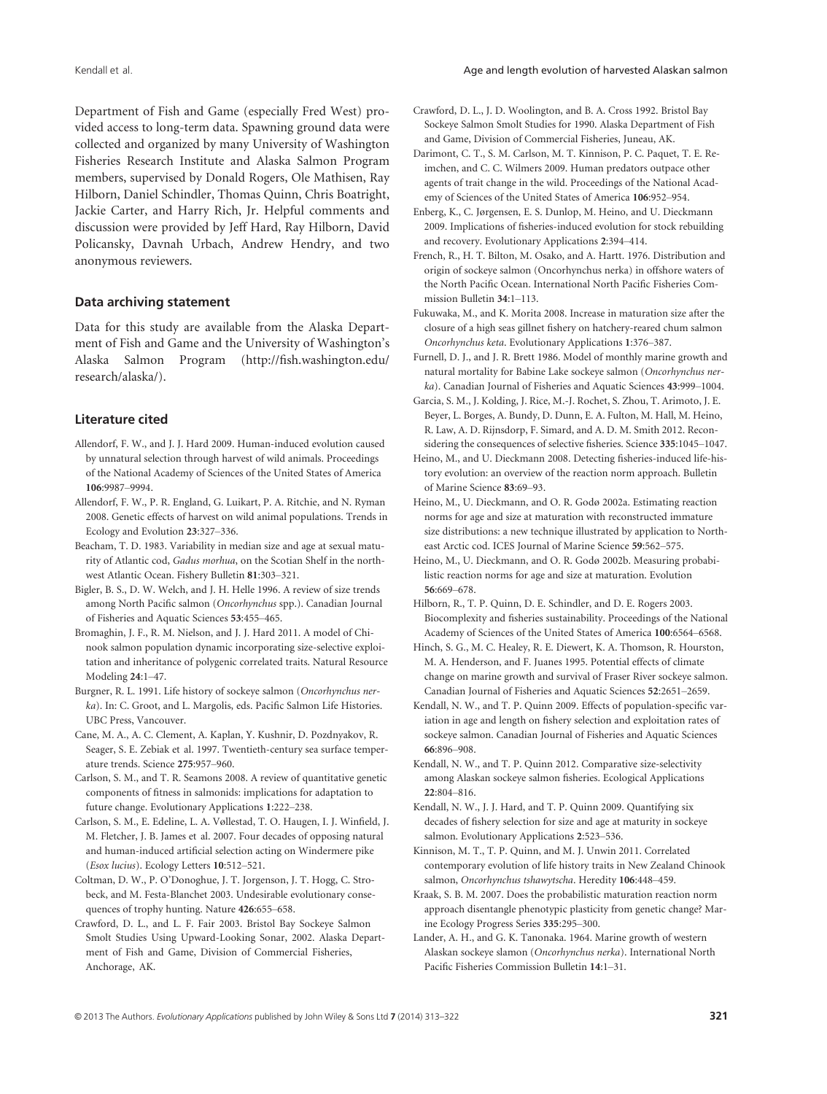Department of Fish and Game (especially Fred West) provided access to long-term data. Spawning ground data were collected and organized by many University of Washington Fisheries Research Institute and Alaska Salmon Program members, supervised by Donald Rogers, Ole Mathisen, Ray Hilborn, Daniel Schindler, Thomas Quinn, Chris Boatright, Jackie Carter, and Harry Rich, Jr. Helpful comments and discussion were provided by Jeff Hard, Ray Hilborn, David Policansky, Davnah Urbach, Andrew Hendry, and two anonymous reviewers.

## Data archiving statement

Data for this study are available from the Alaska Department of Fish and Game and the University of Washington's Alaska Salmon Program (http://fish.washington.edu/ research/alaska/).

## Literature cited

- Allendorf, F. W., and J. J. Hard 2009. Human-induced evolution caused by unnatural selection through harvest of wild animals. Proceedings of the National Academy of Sciences of the United States of America 106:9987–9994.
- Allendorf, F. W., P. R. England, G. Luikart, P. A. Ritchie, and N. Ryman 2008. Genetic effects of harvest on wild animal populations. Trends in Ecology and Evolution 23:327–336.
- Beacham, T. D. 1983. Variability in median size and age at sexual maturity of Atlantic cod, Gadus morhua, on the Scotian Shelf in the northwest Atlantic Ocean. Fishery Bulletin 81:303–321.
- Bigler, B. S., D. W. Welch, and J. H. Helle 1996. A review of size trends among North Pacific salmon (Oncorhynchus spp.). Canadian Journal of Fisheries and Aquatic Sciences 53:455–465.
- Bromaghin, J. F., R. M. Nielson, and J. J. Hard 2011. A model of Chinook salmon population dynamic incorporating size-selective exploitation and inheritance of polygenic correlated traits. Natural Resource Modeling 24:1–47.
- Burgner, R. L. 1991. Life history of sockeye salmon (Oncorhynchus nerka). In: C. Groot, and L. Margolis, eds. Pacific Salmon Life Histories. UBC Press, Vancouver.
- Cane, M. A., A. C. Clement, A. Kaplan, Y. Kushnir, D. Pozdnyakov, R. Seager, S. E. Zebiak et al. 1997. Twentieth-century sea surface temperature trends. Science 275:957–960.

Carlson, S. M., and T. R. Seamons 2008. A review of quantitative genetic components of fitness in salmonids: implications for adaptation to future change. Evolutionary Applications 1:222–238.

Carlson, S. M., E. Edeline, L. A. Vøllestad, T. O. Haugen, I. J. Winfield, J. M. Fletcher, J. B. James et al. 2007. Four decades of opposing natural and human-induced artificial selection acting on Windermere pike (Esox lucius). Ecology Letters 10:512–521.

Coltman, D. W., P. O'Donoghue, J. T. Jorgenson, J. T. Hogg, C. Strobeck, and M. Festa-Blanchet 2003. Undesirable evolutionary consequences of trophy hunting. Nature 426:655–658.

Crawford, D. L., and L. F. Fair 2003. Bristol Bay Sockeye Salmon Smolt Studies Using Upward-Looking Sonar, 2002. Alaska Department of Fish and Game, Division of Commercial Fisheries, Anchorage, AK.

- Crawford, D. L., J. D. Woolington, and B. A. Cross 1992. Bristol Bay Sockeye Salmon Smolt Studies for 1990. Alaska Department of Fish and Game, Division of Commercial Fisheries, Juneau, AK.
- Darimont, C. T., S. M. Carlson, M. T. Kinnison, P. C. Paquet, T. E. Reimchen, and C. C. Wilmers 2009. Human predators outpace other agents of trait change in the wild. Proceedings of the National Academy of Sciences of the United States of America 106:952–954.
- Enberg, K., C. Jørgensen, E. S. Dunlop, M. Heino, and U. Dieckmann 2009. Implications of fisheries-induced evolution for stock rebuilding and recovery. Evolutionary Applications 2:394–414.
- French, R., H. T. Bilton, M. Osako, and A. Hartt. 1976. Distribution and origin of sockeye salmon (Oncorhynchus nerka) in offshore waters of the North Pacific Ocean. International North Pacific Fisheries Commission Bulletin <sup>34</sup>:1–113.
- Fukuwaka, M., and K. Morita 2008. Increase in maturation size after the closure of a high seas gillnet fishery on hatchery-reared chum salmon Oncorhynchus keta. Evolutionary Applications 1:376–387.
- Furnell, D. J., and J. R. Brett 1986. Model of monthly marine growth and natural mortality for Babine Lake sockeye salmon (Oncorhynchus nerka). Canadian Journal of Fisheries and Aquatic Sciences 43:999–1004.
- Garcia, S. M., J. Kolding, J. Rice, M.-J. Rochet, S. Zhou, T. Arimoto, J. E. Beyer, L. Borges, A. Bundy, D. Dunn, E. A. Fulton, M. Hall, M. Heino, R. Law, A. D. Rijnsdorp, F. Simard, and A. D. M. Smith 2012. Reconsidering the consequences of selective fisheries. Science 335:1045–1047.
- Heino, M., and U. Dieckmann 2008. Detecting fisheries-induced life-history evolution: an overview of the reaction norm approach. Bulletin of Marine Science 83:69–93.
- Heino, M., U. Dieckmann, and O. R. Godø 2002a. Estimating reaction norms for age and size at maturation with reconstructed immature size distributions: a new technique illustrated by application to Northeast Arctic cod. ICES Journal of Marine Science 59:562–575.
- Heino, M., U. Dieckmann, and O. R. Godø 2002b. Measuring probabilistic reaction norms for age and size at maturation. Evolution 56:669–678.
- Hilborn, R., T. P. Quinn, D. E. Schindler, and D. E. Rogers 2003. Biocomplexity and fisheries sustainability. Proceedings of the National Academy of Sciences of the United States of America 100:6564–6568.
- Hinch, S. G., M. C. Healey, R. E. Diewert, K. A. Thomson, R. Hourston, M. A. Henderson, and F. Juanes 1995. Potential effects of climate change on marine growth and survival of Fraser River sockeye salmon. Canadian Journal of Fisheries and Aquatic Sciences 52:2651–2659.
- Kendall, N. W., and T. P. Quinn 2009. Effects of population-specific variation in age and length on fishery selection and exploitation rates of sockeye salmon. Canadian Journal of Fisheries and Aquatic Sciences 66:896–908.
- Kendall, N. W., and T. P. Quinn 2012. Comparative size-selectivity among Alaskan sockeye salmon fisheries. Ecological Applications 22:804–816.
- Kendall, N. W., J. J. Hard, and T. P. Quinn 2009. Quantifying six decades of fishery selection for size and age at maturity in sockeye salmon. Evolutionary Applications 2:523–536.
- Kinnison, M. T., T. P. Quinn, and M. J. Unwin 2011. Correlated contemporary evolution of life history traits in New Zealand Chinook salmon, Oncorhynchus tshawytscha. Heredity 106:448–459.
- Kraak, S. B. M. 2007. Does the probabilistic maturation reaction norm approach disentangle phenotypic plasticity from genetic change? Marine Ecology Progress Series 335:295–300.
- Lander, A. H., and G. K. Tanonaka. 1964. Marine growth of western Alaskan sockeye slamon (Oncorhynchus nerka). International North Pacific Fisheries Commission Bulletin 14:1–31.